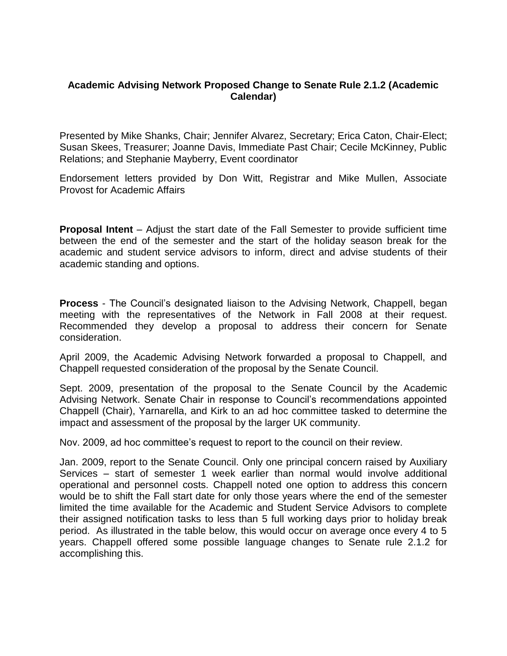#### **Academic Advising Network Proposed Change to Senate Rule 2.1.2 (Academic Calendar)**

Presented by Mike Shanks, Chair; Jennifer Alvarez, Secretary; Erica Caton, Chair-Elect; Susan Skees, Treasurer; Joanne Davis, Immediate Past Chair; Cecile McKinney, Public Relations; and Stephanie Mayberry, Event coordinator

Endorsement letters provided by Don Witt, Registrar and Mike Mullen, Associate Provost for Academic Affairs

**Proposal Intent** – Adjust the start date of the Fall Semester to provide sufficient time between the end of the semester and the start of the holiday season break for the academic and student service advisors to inform, direct and advise students of their academic standing and options.

**Process** - The Council's designated liaison to the Advising Network, Chappell, began meeting with the representatives of the Network in Fall 2008 at their request. Recommended they develop a proposal to address their concern for Senate consideration.

April 2009, the Academic Advising Network forwarded a proposal to Chappell, and Chappell requested consideration of the proposal by the Senate Council.

Sept. 2009, presentation of the proposal to the Senate Council by the Academic Advising Network. Senate Chair in response to Council's recommendations appointed Chappell (Chair), Yarnarella, and Kirk to an ad hoc committee tasked to determine the impact and assessment of the proposal by the larger UK community.

Nov. 2009, ad hoc committee's request to report to the council on their review.

Jan. 2009, report to the Senate Council. Only one principal concern raised by Auxiliary Services – start of semester 1 week earlier than normal would involve additional operational and personnel costs. Chappell noted one option to address this concern would be to shift the Fall start date for only those years where the end of the semester limited the time available for the Academic and Student Service Advisors to complete their assigned notification tasks to less than 5 full working days prior to holiday break period. As illustrated in the table below, this would occur on average once every 4 to 5 years. Chappell offered some possible language changes to Senate rule 2.1.2 for accomplishing this.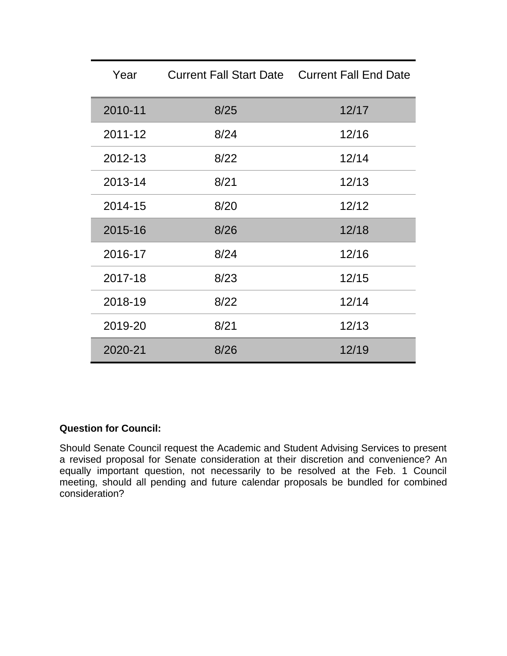| Year    | <b>Current Fall Start Date Current Fall End Date</b> |       |
|---------|------------------------------------------------------|-------|
| 2010-11 | 8/25                                                 | 12/17 |
| 2011-12 | 8/24                                                 | 12/16 |
| 2012-13 | 8/22                                                 | 12/14 |
| 2013-14 | 8/21                                                 | 12/13 |
| 2014-15 | 8/20                                                 | 12/12 |
| 2015-16 | 8/26                                                 | 12/18 |
| 2016-17 | 8/24                                                 | 12/16 |
| 2017-18 | 8/23                                                 | 12/15 |
| 2018-19 | 8/22                                                 | 12/14 |
| 2019-20 | 8/21                                                 | 12/13 |
| 2020-21 | 8/26                                                 | 12/19 |

# **Question for Council:**

Should Senate Council request the Academic and Student Advising Services to present a revised proposal for Senate consideration at their discretion and convenience? An equally important question, not necessarily to be resolved at the Feb. 1 Council meeting, should all pending and future calendar proposals be bundled for combined consideration?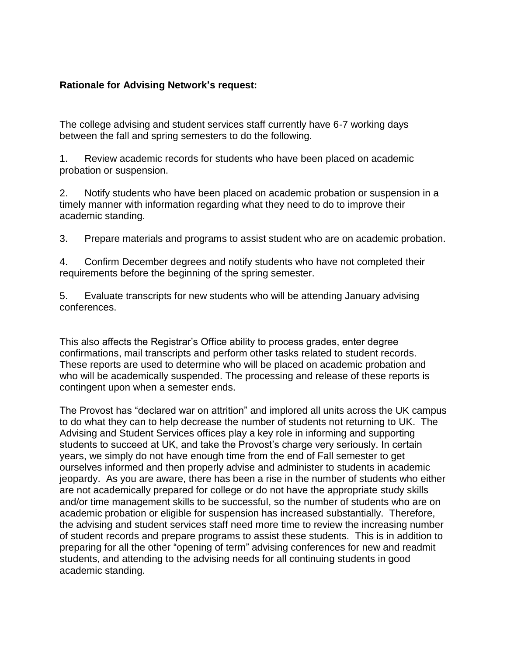## **Rationale for Advising Network's request:**

The college advising and student services staff currently have 6-7 working days between the fall and spring semesters to do the following.

1. Review academic records for students who have been placed on academic probation or suspension.

2. Notify students who have been placed on academic probation or suspension in a timely manner with information regarding what they need to do to improve their academic standing.

3. Prepare materials and programs to assist student who are on academic probation.

4. Confirm December degrees and notify students who have not completed their requirements before the beginning of the spring semester.

5. Evaluate transcripts for new students who will be attending January advising conferences.

This also affects the Registrar's Office ability to process grades, enter degree confirmations, mail transcripts and perform other tasks related to student records. These reports are used to determine who will be placed on academic probation and who will be academically suspended. The processing and release of these reports is contingent upon when a semester ends.

The Provost has "declared war on attrition" and implored all units across the UK campus to do what they can to help decrease the number of students not returning to UK. The Advising and Student Services offices play a key role in informing and supporting students to succeed at UK, and take the Provost's charge very seriously. In certain years, we simply do not have enough time from the end of Fall semester to get ourselves informed and then properly advise and administer to students in academic jeopardy. As you are aware, there has been a rise in the number of students who either are not academically prepared for college or do not have the appropriate study skills and/or time management skills to be successful, so the number of students who are on academic probation or eligible for suspension has increased substantially. Therefore, the advising and student services staff need more time to review the increasing number of student records and prepare programs to assist these students. This is in addition to preparing for all the other "opening of term" advising conferences for new and readmit students, and attending to the advising needs for all continuing students in good academic standing.